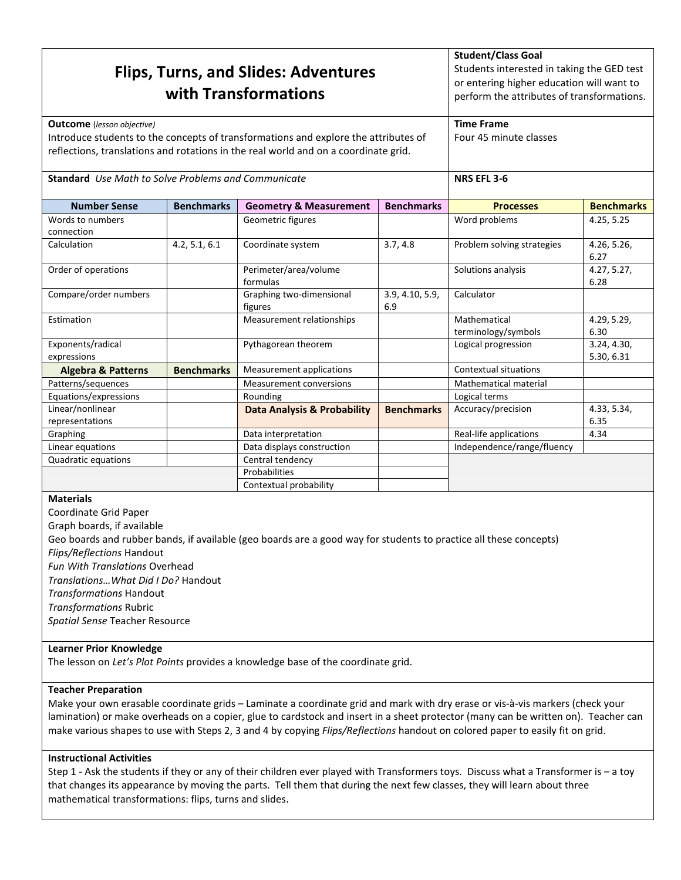|                                                            |                   | <b>Flips, Turns, and Slides: Adventures</b><br>with Transformations                 |                        | <b>Student/Class Goal</b><br>Students interested in taking the GED test<br>or entering higher education will want to<br>perform the attributes of transformations. |                           |
|------------------------------------------------------------|-------------------|-------------------------------------------------------------------------------------|------------------------|--------------------------------------------------------------------------------------------------------------------------------------------------------------------|---------------------------|
| <b>Outcome</b> (lesson objective)                          |                   |                                                                                     |                        | <b>Time Frame</b>                                                                                                                                                  |                           |
|                                                            |                   | Introduce students to the concepts of transformations and explore the attributes of |                        | Four 45 minute classes                                                                                                                                             |                           |
|                                                            |                   | reflections, translations and rotations in the real world and on a coordinate grid. |                        |                                                                                                                                                                    |                           |
| <b>Standard</b> Use Math to Solve Problems and Communicate |                   |                                                                                     |                        | NRS EFL 3-6                                                                                                                                                        |                           |
| <b>Number Sense</b>                                        | <b>Benchmarks</b> | <b>Geometry &amp; Measurement</b>                                                   | <b>Benchmarks</b>      | <b>Processes</b>                                                                                                                                                   | <b>Benchmarks</b>         |
| Words to numbers<br>connection                             |                   | Geometric figures                                                                   |                        | Word problems                                                                                                                                                      | 4.25, 5.25                |
| Calculation                                                | 4.2, 5.1, 6.1     | Coordinate system                                                                   | 3.7, 4.8               | Problem solving strategies                                                                                                                                         | 4.26, 5.26,<br>6.27       |
| Order of operations                                        |                   | Perimeter/area/volume<br>formulas                                                   |                        | Solutions analysis                                                                                                                                                 | 4.27, 5.27,<br>6.28       |
| Compare/order numbers                                      |                   | Graphing two-dimensional<br>figures                                                 | 3.9, 4.10, 5.9,<br>6.9 | Calculator                                                                                                                                                         |                           |
| Estimation                                                 |                   | Measurement relationships                                                           |                        | Mathematical<br>terminology/symbols                                                                                                                                | 4.29, 5.29,<br>6.30       |
| Exponents/radical<br>expressions                           |                   | Pythagorean theorem                                                                 |                        | Logical progression                                                                                                                                                | 3.24, 4.30,<br>5.30, 6.31 |
| <b>Algebra &amp; Patterns</b>                              | <b>Benchmarks</b> | Measurement applications                                                            |                        | <b>Contextual situations</b>                                                                                                                                       |                           |
| Patterns/sequences                                         |                   | <b>Measurement conversions</b>                                                      |                        | <b>Mathematical material</b>                                                                                                                                       |                           |
| Equations/expressions                                      |                   | Rounding                                                                            |                        | Logical terms                                                                                                                                                      |                           |
| Linear/nonlinear<br>representations                        |                   | <b>Data Analysis &amp; Probability</b>                                              | <b>Benchmarks</b>      | Accuracy/precision                                                                                                                                                 | 4.33, 5.34,<br>6.35       |
| Graphing                                                   |                   | Data interpretation                                                                 |                        | Real-life applications                                                                                                                                             | 4.34                      |
| Linear equations                                           |                   | Data displays construction                                                          |                        | Independence/range/fluency                                                                                                                                         |                           |
| Quadratic equations                                        |                   | Central tendency                                                                    |                        |                                                                                                                                                                    |                           |
|                                                            |                   | Probabilities                                                                       |                        |                                                                                                                                                                    |                           |
|                                                            |                   | Contextual probability                                                              |                        |                                                                                                                                                                    |                           |

### **Materials**

Coordinate Grid Paper Graph boards, if available Geo boards and rubber bands, if available (geo boards are a good way for students to practice all these concepts) Flips/Reflections Handout Fun With Translations Overhead Translations…What Did I Do? Handout Transformations Handout Transformations Rubric Spatial Sense Teacher Resource

### Learner Prior Knowledge

The lesson on Let's Plot Points provides a knowledge base of the coordinate grid.

### Teacher Preparation

Make your own erasable coordinate grids – Laminate a coordinate grid and mark with dry erase or vis-à-vis markers (check your lamination) or make overheads on a copier, glue to cardstock and insert in a sheet protector (many can be written on). Teacher can make various shapes to use with Steps 2, 3 and 4 by copying Flips/Reflections handout on colored paper to easily fit on grid.

## Instructional Activities

Step 1 - Ask the students if they or any of their children ever played with Transformers toys. Discuss what a Transformer is – a toy that changes its appearance by moving the parts. Tell them that during the next few classes, they will learn about three mathematical transformations: flips, turns and slides.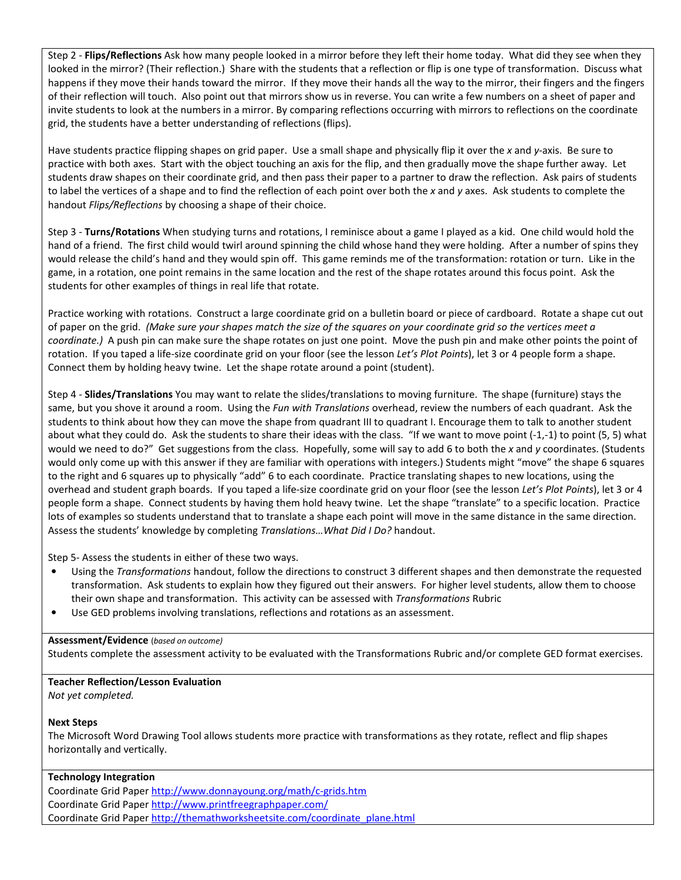Step 2 - Flips/Reflections Ask how many people looked in a mirror before they left their home today. What did they see when they looked in the mirror? (Their reflection.) Share with the students that a reflection or flip is one type of transformation. Discuss what happens if they move their hands toward the mirror. If they move their hands all the way to the mirror, their fingers and the fingers of their reflection will touch. Also point out that mirrors show us in reverse. You can write a few numbers on a sheet of paper and invite students to look at the numbers in a mirror. By comparing reflections occurring with mirrors to reflections on the coordinate grid, the students have a better understanding of reflections (flips).

Have students practice flipping shapes on grid paper. Use a small shape and physically flip it over the x and y-axis. Be sure to practice with both axes. Start with the object touching an axis for the flip, and then gradually move the shape further away. Let students draw shapes on their coordinate grid, and then pass their paper to a partner to draw the reflection. Ask pairs of students to label the vertices of a shape and to find the reflection of each point over both the  $x$  and  $y$  axes. Ask students to complete the handout Flips/Reflections by choosing a shape of their choice.

Step 3 - Turns/Rotations When studying turns and rotations, I reminisce about a game I played as a kid. One child would hold the hand of a friend. The first child would twirl around spinning the child whose hand they were holding. After a number of spins they would release the child's hand and they would spin off. This game reminds me of the transformation: rotation or turn. Like in the game, in a rotation, one point remains in the same location and the rest of the shape rotates around this focus point. Ask the students for other examples of things in real life that rotate.

Practice working with rotations. Construct a large coordinate grid on a bulletin board or piece of cardboard. Rotate a shape cut out of paper on the grid. (Make sure your shapes match the size of the squares on your coordinate grid so the vertices meet a coordinate.) A push pin can make sure the shape rotates on just one point. Move the push pin and make other points the point of rotation. If you taped a life-size coordinate grid on your floor (see the lesson Let's Plot Points), let 3 or 4 people form a shape. Connect them by holding heavy twine. Let the shape rotate around a point (student).

Step 4 - Slides/Translations You may want to relate the slides/translations to moving furniture. The shape (furniture) stays the same, but you shove it around a room. Using the Fun with Translations overhead, review the numbers of each quadrant. Ask the students to think about how they can move the shape from quadrant III to quadrant I. Encourage them to talk to another student about what they could do. Ask the students to share their ideas with the class. "If we want to move point (-1,-1) to point (5, 5) what would we need to do?" Get suggestions from the class. Hopefully, some will say to add 6 to both the x and y coordinates. (Students would only come up with this answer if they are familiar with operations with integers.) Students might "move" the shape 6 squares to the right and 6 squares up to physically "add" 6 to each coordinate. Practice translating shapes to new locations, using the overhead and student graph boards. If you taped a life-size coordinate grid on your floor (see the lesson Let's Plot Points), let 3 or 4 people form a shape. Connect students by having them hold heavy twine. Let the shape "translate" to a specific location. Practice lots of examples so students understand that to translate a shape each point will move in the same distance in the same direction. Assess the students' knowledge by completing Translations…What Did I Do? handout.

Step 5- Assess the students in either of these two ways.

- Using the Transformations handout, follow the directions to construct 3 different shapes and then demonstrate the requested transformation. Ask students to explain how they figured out their answers. For higher level students, allow them to choose their own shape and transformation. This activity can be assessed with Transformations Rubric
- Use GED problems involving translations, reflections and rotations as an assessment.

### Assessment/Evidence (based on outcome)

Students complete the assessment activity to be evaluated with the Transformations Rubric and/or complete GED format exercises.

## Teacher Reflection/Lesson Evaluation

Not yet completed.

## Next Steps

The Microsoft Word Drawing Tool allows students more practice with transformations as they rotate, reflect and flip shapes horizontally and vertically.

## Technology Integration

Coordinate Grid Paper http://www.donnayoung.org/math/c-grids.htm Coordinate Grid Paper http://www.printfreegraphpaper.com/ Coordinate Grid Paper http://themathworksheetsite.com/coordinate\_plane.html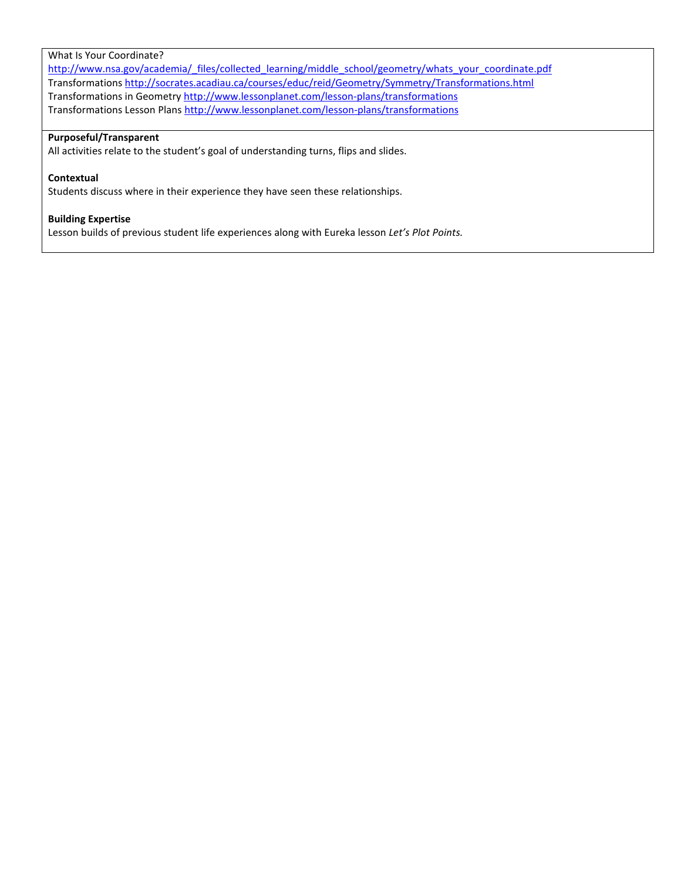### What Is Your Coordinate?

http://www.nsa.gov/academia/\_files/collected\_learning/middle\_school/geometry/whats\_your\_coordinate.pdf Transformations http://socrates.acadiau.ca/courses/educ/reid/Geometry/Symmetry/Transformations.html Transformations in Geometry http://www.lessonplanet.com/lesson-plans/transformations Transformations Lesson Plans http://www.lessonplanet.com/lesson-plans/transformations

### Purposeful/Transparent

All activities relate to the student's goal of understanding turns, flips and slides.

## **Contextual**

Students discuss where in their experience they have seen these relationships.

## Building Expertise

Lesson builds of previous student life experiences along with Eureka lesson Let's Plot Points.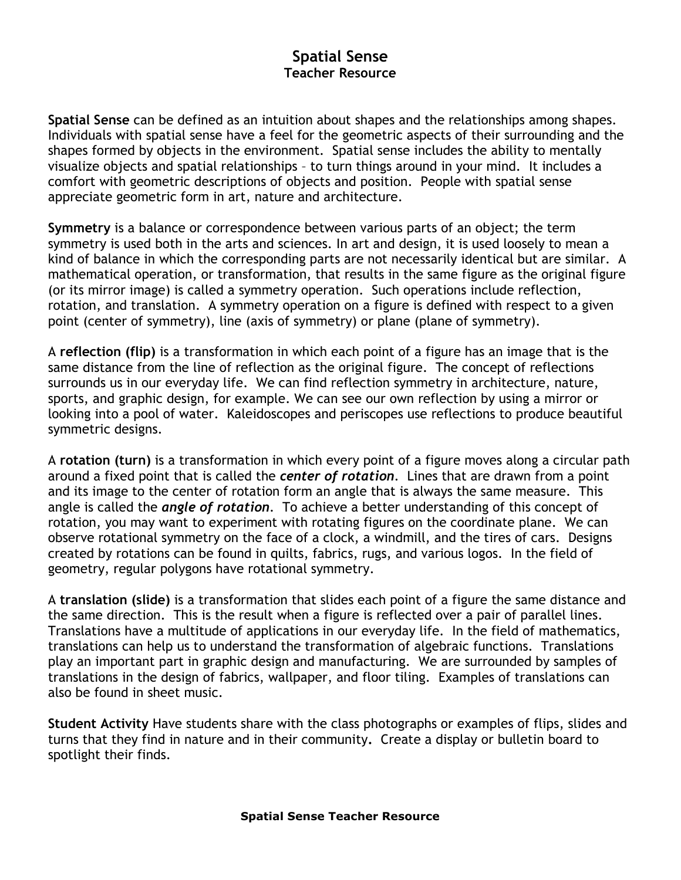## Spatial Sense Teacher Resource

Spatial Sense can be defined as an intuition about shapes and the relationships among shapes. Individuals with spatial sense have a feel for the geometric aspects of their surrounding and the shapes formed by objects in the environment. Spatial sense includes the ability to mentally visualize objects and spatial relationships – to turn things around in your mind. It includes a comfort with geometric descriptions of objects and position. People with spatial sense appreciate geometric form in art, nature and architecture.

Symmetry is a balance or correspondence between various parts of an object; the term symmetry is used both in the arts and sciences. In art and design, it is used loosely to mean a kind of balance in which the corresponding parts are not necessarily identical but are similar. A mathematical operation, or transformation, that results in the same figure as the original figure (or its mirror image) is called a symmetry operation. Such operations include reflection, rotation, and translation. A symmetry operation on a figure is defined with respect to a given point (center of symmetry), line (axis of symmetry) or plane (plane of symmetry).

A reflection (flip) is a transformation in which each point of a figure has an image that is the same distance from the line of reflection as the original figure. The concept of reflections surrounds us in our everyday life. We can find reflection symmetry in architecture, nature, sports, and graphic design, for example. We can see our own reflection by using a mirror or looking into a pool of water. Kaleidoscopes and periscopes use reflections to produce beautiful symmetric designs.

A rotation (turn) is a transformation in which every point of a figure moves along a circular path around a fixed point that is called the center of rotation. Lines that are drawn from a point and its image to the center of rotation form an angle that is always the same measure. This angle is called the *angle of rotation*. To achieve a better understanding of this concept of rotation, you may want to experiment with rotating figures on the coordinate plane. We can observe rotational symmetry on the face of a clock, a windmill, and the tires of cars. Designs created by rotations can be found in quilts, fabrics, rugs, and various logos. In the field of geometry, regular polygons have rotational symmetry.

A translation (slide) is a transformation that slides each point of a figure the same distance and the same direction. This is the result when a figure is reflected over a pair of parallel lines. Translations have a multitude of applications in our everyday life. In the field of mathematics, translations can help us to understand the transformation of algebraic functions. Translations play an important part in graphic design and manufacturing. We are surrounded by samples of translations in the design of fabrics, wallpaper, and floor tiling. Examples of translations can also be found in sheet music.

Student Activity Have students share with the class photographs or examples of flips, slides and turns that they find in nature and in their community. Create a display or bulletin board to spotlight their finds.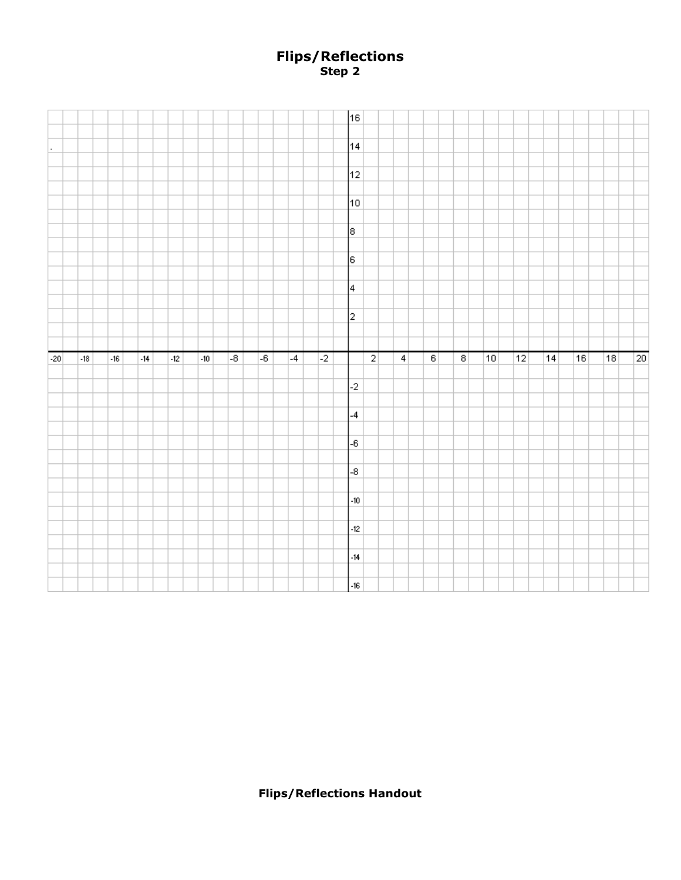## Flips/Reflections Step 2

|         |       |       |       |            |       |                 |      |      |                | 16                |                |                 |                   |                |    |    |    |    |    |    |
|---------|-------|-------|-------|------------|-------|-----------------|------|------|----------------|-------------------|----------------|-----------------|-------------------|----------------|----|----|----|----|----|----|
|         |       |       |       |            |       |                 |      |      |                |                   |                |                 |                   |                |    |    |    |    |    |    |
| $\cdot$ |       |       |       |            |       |                 |      |      |                | 14                |                |                 |                   |                |    |    |    |    |    |    |
|         |       |       |       |            |       |                 |      |      |                |                   |                |                 |                   |                |    |    |    |    |    |    |
|         |       |       |       |            |       |                 |      |      |                | $12 \overline{)}$ |                |                 |                   |                |    |    |    |    |    |    |
|         |       |       |       |            |       |                 |      |      |                |                   |                |                 |                   |                |    |    |    |    |    |    |
|         |       |       |       |            |       |                 |      |      |                | 10                |                |                 |                   |                |    |    |    |    |    |    |
|         |       |       |       |            |       |                 |      |      |                |                   |                |                 |                   |                |    |    |    |    |    |    |
|         |       |       |       |            |       |                 |      |      |                |                   |                |                 |                   |                |    |    |    |    |    |    |
|         |       |       |       |            |       |                 |      |      |                | 8                 |                |                 |                   |                |    |    |    |    |    |    |
|         |       |       |       |            |       |                 |      |      |                |                   |                |                 |                   |                |    |    |    |    |    |    |
|         |       |       |       |            |       |                 |      |      |                | ļε.               |                |                 |                   |                |    |    |    |    |    |    |
|         |       |       |       |            |       |                 |      |      |                |                   |                |                 |                   |                |    |    |    |    |    |    |
|         |       |       |       |            |       |                 |      |      |                | $\vert 4 \vert$   |                |                 |                   |                |    |    |    |    |    |    |
|         |       |       |       |            |       |                 |      |      |                |                   |                |                 |                   |                |    |    |    |    |    |    |
|         |       |       |       |            |       |                 |      |      |                | $\overline{2}$    |                |                 |                   |                |    |    |    |    |    |    |
|         |       |       |       |            |       |                 |      |      |                |                   |                |                 |                   |                |    |    |    |    |    |    |
|         |       |       |       |            |       |                 |      |      |                |                   |                |                 |                   |                |    |    |    |    |    |    |
|         |       |       |       |            |       |                 |      |      |                |                   |                |                 |                   |                |    |    |    |    |    |    |
| $-20$   | $-18$ | $-16$ | $-14$ | $\cdot 12$ | $-10$ | $\overline{-8}$ | $-6$ | $-4$ | $\overline{2}$ |                   | $\overline{2}$ | $\vert 4 \vert$ | $\lceil 6 \rceil$ | $\overline{8}$ | 10 | 12 | 14 | 16 | 18 | 20 |
|         |       |       |       |            |       |                 |      |      |                |                   |                |                 |                   |                |    |    |    |    |    |    |
|         |       |       |       |            |       |                 |      |      |                | $-2$              |                |                 |                   |                |    |    |    |    |    |    |
|         |       |       |       |            |       |                 |      |      |                |                   |                |                 |                   |                |    |    |    |    |    |    |
|         |       |       |       |            |       |                 |      |      |                |                   |                |                 |                   |                |    |    |    |    |    |    |
|         |       |       |       |            |       |                 |      |      |                | $-4$              |                |                 |                   |                |    |    |    |    |    |    |
|         |       |       |       |            |       |                 |      |      |                |                   |                |                 |                   |                |    |    |    |    |    |    |
|         |       |       |       |            |       |                 |      |      |                | $-6$              |                |                 |                   |                |    |    |    |    |    |    |
|         |       |       |       |            |       |                 |      |      |                |                   |                |                 |                   |                |    |    |    |    |    |    |
|         |       |       |       |            |       |                 |      |      |                | $-8$              |                |                 |                   |                |    |    |    |    |    |    |
|         |       |       |       |            |       |                 |      |      |                |                   |                |                 |                   |                |    |    |    |    |    |    |
|         |       |       |       |            |       |                 |      |      |                | $-10$             |                |                 |                   |                |    |    |    |    |    |    |
|         |       |       |       |            |       |                 |      |      |                |                   |                |                 |                   |                |    |    |    |    |    |    |
|         |       |       |       |            |       |                 |      |      |                | $-12$             |                |                 |                   |                |    |    |    |    |    |    |
|         |       |       |       |            |       |                 |      |      |                |                   |                |                 |                   |                |    |    |    |    |    |    |
|         |       |       |       |            |       |                 |      |      |                | $-14$             |                |                 |                   |                |    |    |    |    |    |    |
|         |       |       |       |            |       |                 |      |      |                | $-16$             |                |                 |                   |                |    |    |    |    |    |    |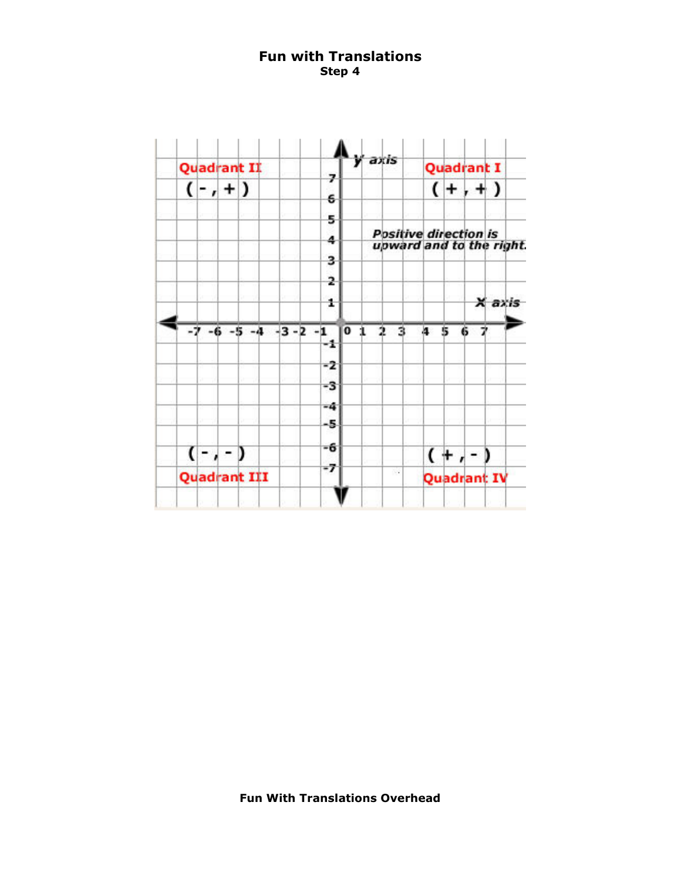## Fun with Translations Step 4

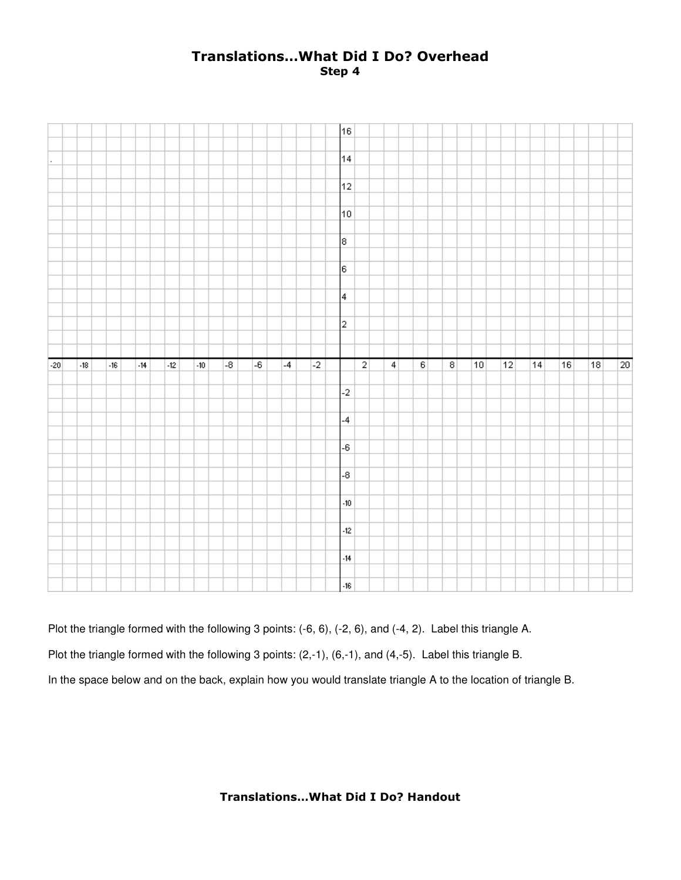## Translations…What Did I Do? Overhead Step 4

|       |       |       |                |            |       |                 |      |      |      | 16                      |                |                |                   |                |    |    |    |    |    |    |
|-------|-------|-------|----------------|------------|-------|-----------------|------|------|------|-------------------------|----------------|----------------|-------------------|----------------|----|----|----|----|----|----|
|       |       |       |                |            |       |                 |      |      |      |                         |                |                |                   |                |    |    |    |    |    |    |
|       |       |       |                |            |       |                 |      |      |      | 14                      |                |                |                   |                |    |    |    |    |    |    |
|       |       |       |                |            |       |                 |      |      |      |                         |                |                |                   |                |    |    |    |    |    |    |
|       |       |       |                |            |       |                 |      |      |      | 12 <sub>1</sub>         |                |                |                   |                |    |    |    |    |    |    |
|       |       |       |                |            |       |                 |      |      |      |                         |                |                |                   |                |    |    |    |    |    |    |
|       |       |       |                |            |       |                 |      |      |      | 10                      |                |                |                   |                |    |    |    |    |    |    |
|       |       |       |                |            |       |                 |      |      |      |                         |                |                |                   |                |    |    |    |    |    |    |
|       |       |       |                |            |       |                 |      |      |      |                         |                |                |                   |                |    |    |    |    |    |    |
|       |       |       |                |            |       |                 |      |      |      | 8                       |                |                |                   |                |    |    |    |    |    |    |
|       |       |       |                |            |       |                 |      |      |      |                         |                |                |                   |                |    |    |    |    |    |    |
|       |       |       |                |            |       |                 |      |      |      | 6                       |                |                |                   |                |    |    |    |    |    |    |
|       |       |       |                |            |       |                 |      |      |      |                         |                |                |                   |                |    |    |    |    |    |    |
|       |       |       |                |            |       |                 |      |      |      | 4                       |                |                |                   |                |    |    |    |    |    |    |
|       |       |       |                |            |       |                 |      |      |      |                         |                |                |                   |                |    |    |    |    |    |    |
|       |       |       |                |            |       |                 |      |      |      | 2                       |                |                |                   |                |    |    |    |    |    |    |
|       |       |       |                |            |       |                 |      |      |      |                         |                |                |                   |                |    |    |    |    |    |    |
|       |       |       |                |            |       |                 |      |      |      |                         |                |                |                   |                |    |    |    |    |    |    |
|       |       |       |                |            |       |                 |      |      |      |                         |                |                |                   |                |    |    |    |    |    |    |
|       |       |       |                |            |       |                 |      |      |      |                         |                |                |                   |                |    |    |    |    |    |    |
| $-20$ | $-18$ | $-16$ | $\mathcal{A}4$ | $42^\circ$ | $-10$ | $\overline{-8}$ | $-6$ | $-4$ | $-2$ |                         | $\overline{2}$ | $\overline{4}$ | $\lceil 6 \rceil$ | $\overline{8}$ | 10 | 12 | 14 | 16 | 18 | 20 |
|       |       |       |                |            |       |                 |      |      |      |                         |                |                |                   |                |    |    |    |    |    |    |
|       |       |       |                |            |       |                 |      |      |      | $-2$                    |                |                |                   |                |    |    |    |    |    |    |
|       |       |       |                |            |       |                 |      |      |      |                         |                |                |                   |                |    |    |    |    |    |    |
|       |       |       |                |            |       |                 |      |      |      | $-4$                    |                |                |                   |                |    |    |    |    |    |    |
|       |       |       |                |            |       |                 |      |      |      |                         |                |                |                   |                |    |    |    |    |    |    |
|       |       |       |                |            |       |                 |      |      |      | -6                      |                |                |                   |                |    |    |    |    |    |    |
|       |       |       |                |            |       |                 |      |      |      |                         |                |                |                   |                |    |    |    |    |    |    |
|       |       |       |                |            |       |                 |      |      |      | $-8$                    |                |                |                   |                |    |    |    |    |    |    |
|       |       |       |                |            |       |                 |      |      |      |                         |                |                |                   |                |    |    |    |    |    |    |
|       |       |       |                |            |       |                 |      |      |      | $\boldsymbol{\cdot 10}$ |                |                |                   |                |    |    |    |    |    |    |
|       |       |       |                |            |       |                 |      |      |      |                         |                |                |                   |                |    |    |    |    |    |    |
|       |       |       |                |            |       |                 |      |      |      | $\textbf{-12}$          |                |                |                   |                |    |    |    |    |    |    |
|       |       |       |                |            |       |                 |      |      |      |                         |                |                |                   |                |    |    |    |    |    |    |
|       |       |       |                |            |       |                 |      |      |      |                         |                |                |                   |                |    |    |    |    |    |    |
|       |       |       |                |            |       |                 |      |      |      | $-14$                   |                |                |                   |                |    |    |    |    |    |    |

Plot the triangle formed with the following 3 points: (-6, 6), (-2, 6), and (-4, 2). Label this triangle A. Plot the triangle formed with the following 3 points: (2,-1), (6,-1), and (4,-5). Label this triangle B.

In the space below and on the back, explain how you would translate triangle A to the location of triangle B.

Translations…What Did I Do? Handout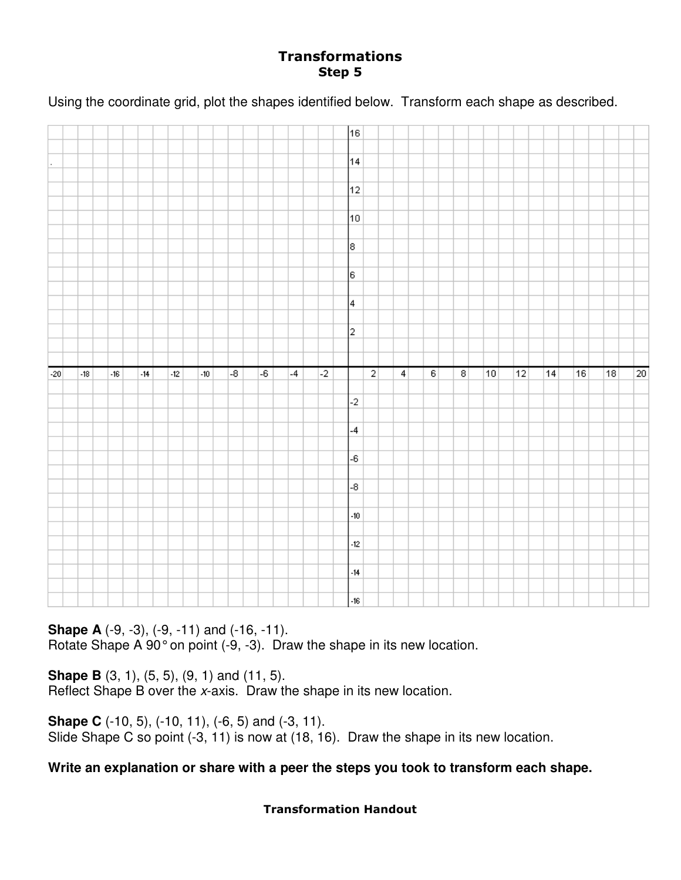## Transformations Step 5

Using the coordinate grid, plot the shapes identified below. Transform each shape as described.

|       |       |       |       |       |       |                 |                 |      |      | 16                |                |                |                |                |    |    |    |    |    |    |
|-------|-------|-------|-------|-------|-------|-----------------|-----------------|------|------|-------------------|----------------|----------------|----------------|----------------|----|----|----|----|----|----|
|       |       |       |       |       |       |                 |                 |      |      |                   |                |                |                |                |    |    |    |    |    |    |
|       |       |       |       |       |       |                 |                 |      |      |                   |                |                |                |                |    |    |    |    |    |    |
|       |       |       |       |       |       |                 |                 |      |      | 14                |                |                |                |                |    |    |    |    |    |    |
|       |       |       |       |       |       |                 |                 |      |      |                   |                |                |                |                |    |    |    |    |    |    |
|       |       |       |       |       |       |                 |                 |      |      | $12 \overline{ }$ |                |                |                |                |    |    |    |    |    |    |
|       |       |       |       |       |       |                 |                 |      |      |                   |                |                |                |                |    |    |    |    |    |    |
|       |       |       |       |       |       |                 |                 |      |      |                   |                |                |                |                |    |    |    |    |    |    |
|       |       |       |       |       |       |                 |                 |      |      | 10 <sub>1</sub>   |                |                |                |                |    |    |    |    |    |    |
|       |       |       |       |       |       |                 |                 |      |      |                   |                |                |                |                |    |    |    |    |    |    |
|       |       |       |       |       |       |                 |                 |      |      | 8                 |                |                |                |                |    |    |    |    |    |    |
|       |       |       |       |       |       |                 |                 |      |      |                   |                |                |                |                |    |    |    |    |    |    |
|       |       |       |       |       |       |                 |                 |      |      |                   |                |                |                |                |    |    |    |    |    |    |
|       |       |       |       |       |       |                 |                 |      |      | ļε.               |                |                |                |                |    |    |    |    |    |    |
|       |       |       |       |       |       |                 |                 |      |      |                   |                |                |                |                |    |    |    |    |    |    |
|       |       |       |       |       |       |                 |                 |      |      | 4                 |                |                |                |                |    |    |    |    |    |    |
|       |       |       |       |       |       |                 |                 |      |      |                   |                |                |                |                |    |    |    |    |    |    |
|       |       |       |       |       |       |                 |                 |      |      |                   |                |                |                |                |    |    |    |    |    |    |
|       |       |       |       |       |       |                 |                 |      |      | $\overline{a}$    |                |                |                |                |    |    |    |    |    |    |
|       |       |       |       |       |       |                 |                 |      |      |                   |                |                |                |                |    |    |    |    |    |    |
|       |       |       |       |       |       |                 |                 |      |      |                   |                |                |                |                |    |    |    |    |    |    |
|       |       |       |       |       |       |                 |                 |      |      |                   |                |                |                |                |    |    |    |    |    |    |
|       |       |       |       |       |       |                 |                 |      |      |                   |                |                |                |                |    |    |    |    |    |    |
| $-20$ | $-18$ | $-16$ | $-14$ | $-12$ | $-10$ | $\overline{.8}$ | $\overline{-6}$ | $-4$ | $-2$ |                   | $\overline{2}$ | $\overline{4}$ | $\overline{6}$ | $\overline{8}$ | 10 | 12 | 14 | 16 | 18 |    |
|       |       |       |       |       |       |                 |                 |      |      |                   |                |                |                |                |    |    |    |    |    | 20 |
|       |       |       |       |       |       |                 |                 |      |      |                   |                |                |                |                |    |    |    |    |    |    |
|       |       |       |       |       |       |                 |                 |      |      | $-2$              |                |                |                |                |    |    |    |    |    |    |
|       |       |       |       |       |       |                 |                 |      |      |                   |                |                |                |                |    |    |    |    |    |    |
|       |       |       |       |       |       |                 |                 |      |      |                   |                |                |                |                |    |    |    |    |    |    |
|       |       |       |       |       |       |                 |                 |      |      | $-4$              |                |                |                |                |    |    |    |    |    |    |
|       |       |       |       |       |       |                 |                 |      |      |                   |                |                |                |                |    |    |    |    |    |    |
|       |       |       |       |       |       |                 |                 |      |      | $\textnormal{-}6$ |                |                |                |                |    |    |    |    |    |    |
|       |       |       |       |       |       |                 |                 |      |      |                   |                |                |                |                |    |    |    |    |    |    |
|       |       |       |       |       |       |                 |                 |      |      |                   |                |                |                |                |    |    |    |    |    |    |
|       |       |       |       |       |       |                 |                 |      |      | $-8$              |                |                |                |                |    |    |    |    |    |    |
|       |       |       |       |       |       |                 |                 |      |      |                   |                |                |                |                |    |    |    |    |    |    |
|       |       |       |       |       |       |                 |                 |      |      | $-10$             |                |                |                |                |    |    |    |    |    |    |
|       |       |       |       |       |       |                 |                 |      |      |                   |                |                |                |                |    |    |    |    |    |    |
|       |       |       |       |       |       |                 |                 |      |      |                   |                |                |                |                |    |    |    |    |    |    |
|       |       |       |       |       |       |                 |                 |      |      | $-12$             |                |                |                |                |    |    |    |    |    |    |
|       |       |       |       |       |       |                 |                 |      |      |                   |                |                |                |                |    |    |    |    |    |    |
|       |       |       |       |       |       |                 |                 |      |      | $-14$             |                |                |                |                |    |    |    |    |    |    |
|       |       |       |       |       |       |                 |                 |      |      |                   |                |                |                |                |    |    |    |    |    |    |
|       |       |       |       |       |       |                 |                 |      |      | $-16$             |                |                |                |                |    |    |    |    |    |    |

**Shape A** (-9, -3), (-9, -11) and (-16, -11). Rotate Shape A 90° on point (-9, -3). Draw the shape in its new location.

**Shape B** (3, 1), (5, 5), (9, 1) and (11, 5). Reflect Shape B over the x-axis. Draw the shape in its new location.

**Shape C** (-10, 5), (-10, 11), (-6, 5) and (-3, 11). Slide Shape C so point (-3, 11) is now at (18, 16). Draw the shape in its new location.

**Write an explanation or share with a peer the steps you took to transform each shape.** 

## Transformation Handout